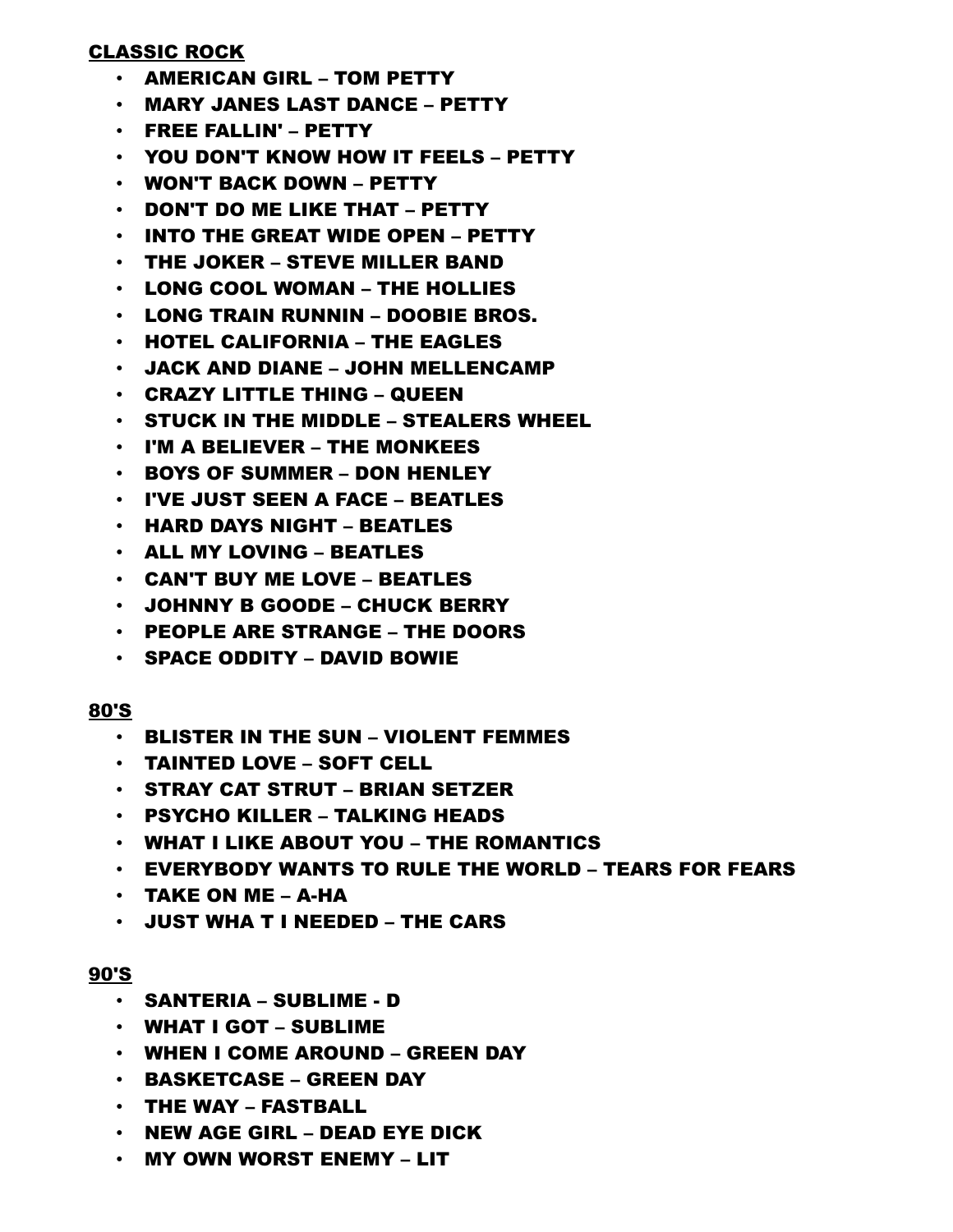### CLASSIC ROCK

- AMERICAN GIRL TOM PETTY
- MARY JANES LAST DANCE PETTY
- FREE FALLIN' PETTY
- YOU DON'T KNOW HOW IT FEELS PETTY
- WON'T BACK DOWN PETTY
- DON'T DO ME LIKE THAT PETTY
- INTO THE GREAT WIDE OPEN PETTY
- THE JOKER STEVE MILLER BAND
- LONG COOL WOMAN THE HOLLIES
- LONG TRAIN RUNNIN DOOBIE BROS.
- HOTEL CALIFORNIA THE EAGLES
- JACK AND DIANE JOHN MELLENCAMP
- CRAZY LITTLE THING QUEEN
- STUCK IN THE MIDDLE STEALERS WHEEL
- I'M A BELIEVER THE MONKEES
- BOYS OF SUMMER DON HENLEY
- I'VE JUST SEEN A FACE BEATLES
- HARD DAYS NIGHT BEATLES
- ALL MY LOVING BEATLES
- CAN'T BUY ME LOVE BEATLES
- JOHNNY B GOODE CHUCK BERRY
- PEOPLE ARE STRANGE THE DOORS
- SPACE ODDITY DAVID BOWIE

### 80'S

- BLISTER IN THE SUN VIOLENT FEMMES
- TAINTED LOVE SOFT CELL
- STRAY CAT STRUT BRIAN SETZER
- PSYCHO KILLER TALKING HEADS
- WHAT I LIKE ABOUT YOU THE ROMANTICS
- EVERYBODY WANTS TO RULE THE WORLD TEARS FOR FEARS
- TAKE ON ME A-HA
- JUST WHA T I NEEDED THE CARS

### 90'S

- SANTERIA SUBLIME D
- WHAT I GOT SUBLIME
- WHEN I COME AROUND GREEN DAY
- BASKETCASE GREEN DAY
- THE WAY FASTBALL
- NEW AGE GIRL DEAD EYE DICK
- MY OWN WORST ENEMY LIT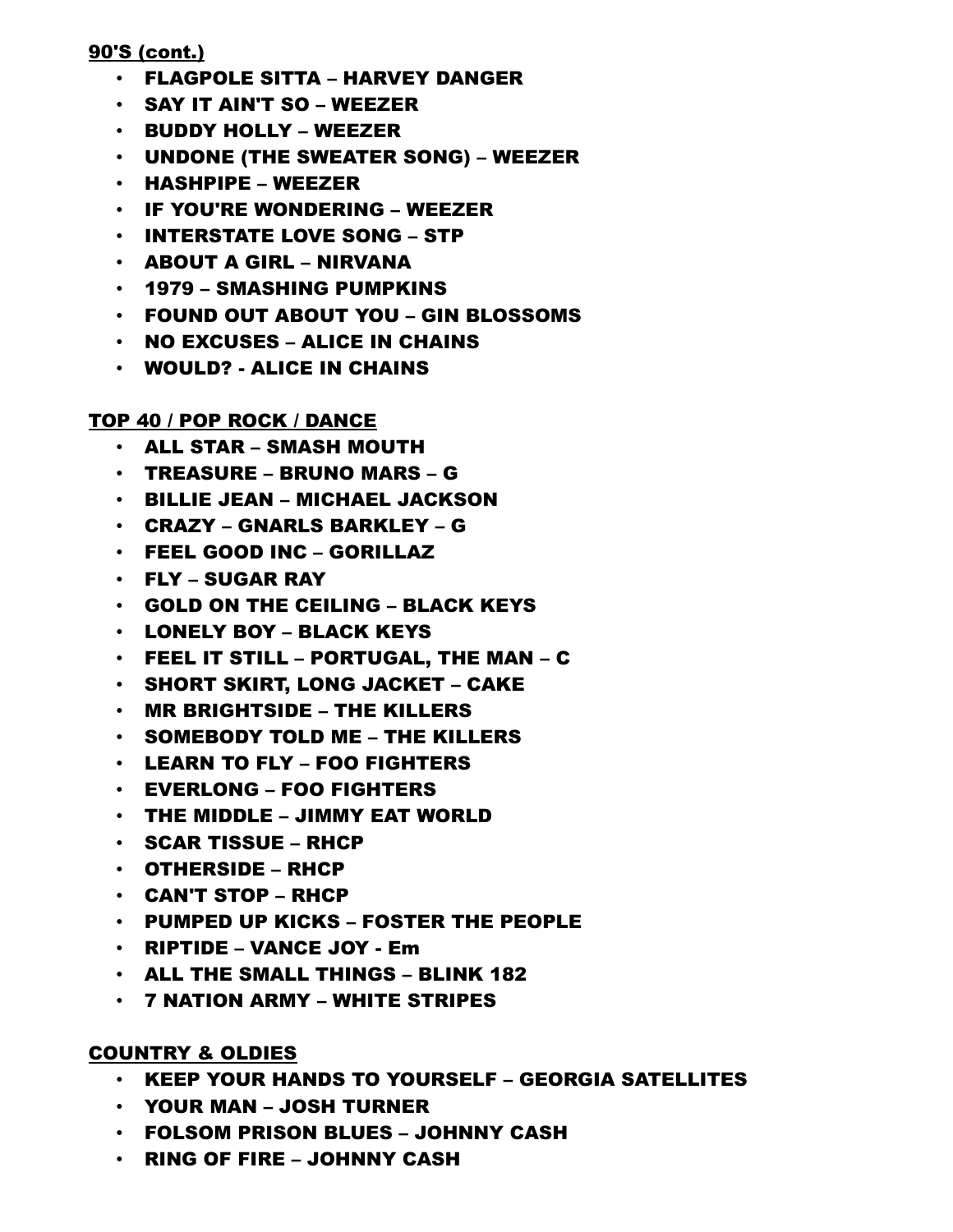## 90'S (cont.)

- FLAGPOLE SITTA HARVEY DANGER
- SAY IT AIN'T SO WEEZER
- BUDDY HOLLY WEEZER
- UNDONE (THE SWEATER SONG) WEEZER
- HASHPIPE WEEZER
- IF YOU'RE WONDERING WEEZER
- INTERSTATE LOVE SONG STP
- ABOUT A GIRL NIRVANA
- 1979 SMASHING PUMPKINS
- FOUND OUT ABOUT YOU GIN BLOSSOMS
- $\cdot$  NO EXCUSES ALICE IN CHAINS
- WOULD? ALICE IN CHAINS

## TOP 40 / POP ROCK / DANCE

- ALL STAR SMASH MOUTH
- TREASURE BRUNO MARS G
- BILLIE JEAN MICHAEL JACKSON
- CRAZY GNARLS BARKLEY G
- FEEL GOOD INC GORILLAZ
- FLY SUGAR RAY
- GOLD ON THE CEILING BLACK KEYS
- LONELY BOY BLACK KEYS
- FEEL IT STILL PORTUGAL, THE MAN C
- SHORT SKIRT, LONG JACKET CAKE
- MR BRIGHTSIDE THE KILLERS
- SOMEBODY TOLD ME THE KILLERS
- LEARN TO FLY FOO FIGHTERS
- EVERLONG FOO FIGHTERS
- THE MIDDLE JIMMY EAT WORLD
- SCAR TISSUE RHCP
- OTHERSIDE RHCP
- CAN'T STOP RHCP
- PUMPED UP KICKS FOSTER THE PEOPLE
- RIPTIDE VANCE JOY Em
- ALL THE SMALL THINGS BLINK 182
- 7 NATION ARMY WHITE STRIPES

### COUNTRY & OLDIES

- KEEP YOUR HANDS TO YOURSELF GEORGIA SATELLITES
- YOUR MAN JOSH TURNER
- FOLSOM PRISON BLUES JOHNNY CASH
- RING OF FIRE JOHNNY CASH